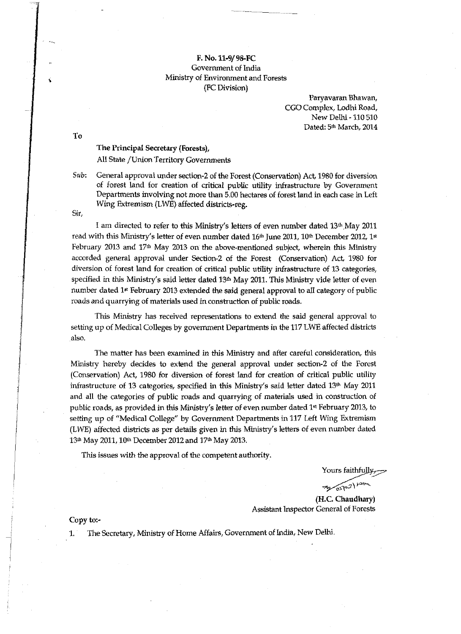## F. No. 11-9/98-FC Government of India Ministry of Environment and Forests (FC Division)

Paryavaran Bhawan, CGO Complex, Lodhi Road, New Delhi -110 510 Dated: 5<sup>th</sup> March, 2014

To

## The Principal Secretary (Forests),

All State / Union Territory Governments

*Sub:* General approval under section-2 of the Forest (Conservation) Act, 1980 for diversion of forest land for creation of critical public utility infrastructure by Government Departments involving not more than 5.00 hectares of forest land in each case in Left Wing Extremism (LWE) affected districts-reg.

Sir,

I am directed to refer to this Ministry's letters of even number dated 13th May 2011 read with this Ministry's letter of even number dated  $16<sup>th</sup>$  June 2011,  $10<sup>th</sup>$  December 2012,  $1<sup>st</sup>$ February 2013 and 17th May 2013 on the above-mentioned subject, wherein this Ministry accorded general approval under Section-2 of the Forest (Conservation) Act, 1980 for diversion of forest land for creation of critical public utility infrastructure of 13 categories, specified in this Ministry's said letter dated 13th May 2011. "This Ministry vide letter of even number dated 1<sup>st</sup> February 2013 extended the said general approval to all category of public roads and quarrying of materials used in construction of public roads.

This Ministry has received representations to extend the said general approval to setting up of Medical Colleges by government Departments in the 117 LWE affected districts also.

The matter has been examined in this Ministry and after careful consideration, this Ministry hereby decides to extend the general approval under section-2 of the Forest (Conservation) Act, 1980 for diversion of forest land for creation of critical public utility infrastructure of 13 categories, specified in this Ministry's said letter dated 13th May 2011 and all the categories of public roads and quarrying of materials used in construction of public roads, as provided in this Ministry's letter of even number dated 1<sup>st</sup> February 2013, to setting up of "Medical College" by Government Departments in 117 Left Wing Extremism (LWE) affected districts as per details given in this Ministry's letters of even number dated 13<sup>th</sup> May 2011, 10<sup>th</sup> December 2012 and 17<sup>th</sup> May 2013.

This issues with the approval of the competent authority.

Yours faithfully,

 $\gamma$ <sup>2</sup>103)  $\approx$ 

(H.C. Chaudhary) Assistant Inspector General of Forests

## Copy to:-

1. The Secretary, Ministry of Home Affairs, Government of India, New Delhi.